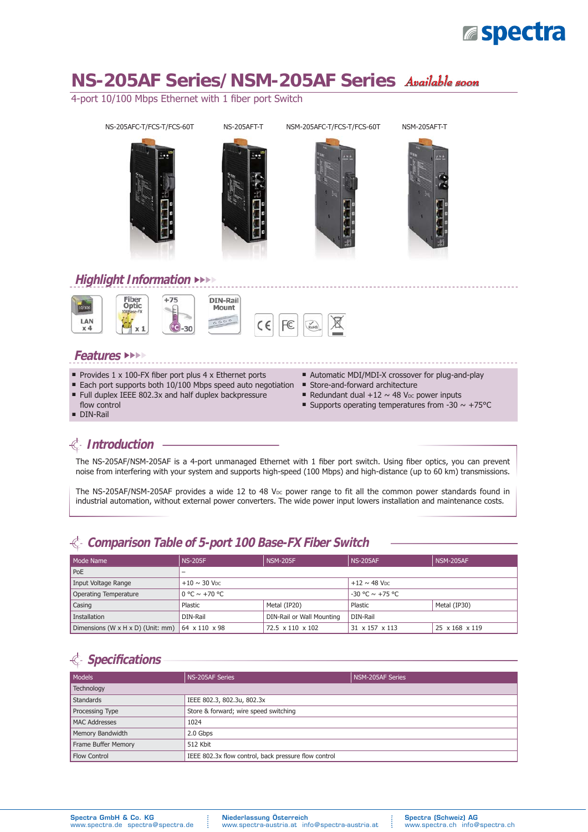

# **NS-205AF Series/NSM-205AF Series** *Available soon*

4-port 10/100 Mbps Ethernet with 1 fiber port Switch



#### **Features** ►►►►

- Provides  $1 \times 100$ -FX fiber port plus  $4 \times$  Ethernet ports
- Each port supports both 10/100 Mbps speed auto negotiation
- Full duplex IEEE 802.3x and half duplex backpressure
- flow control
- **DIN-Rail**
- Automatic MDI/MDI-X crossover for plug-and-play
- Store-and-forward architecture
- Redundant dual  $+12 \sim 48$  V<sub>DC</sub> power inputs
- Supports operating temperatures from -30  $\sim$  +75°C

## **Introduction**

The NS-205AF/NSM-205AF is a 4-port unmanaged Ethernet with 1 fiber port switch. Using fiber optics, you can prevent noise from interfering with your system and supports high-speed (100 Mbps) and high-distance (up to 60 km) transmissions.

The NS-205AF/NSM-205AF provides a wide 12 to 48 V<sub>DC</sub> power range to fit all the common power standards found in industrial automation, without external power converters. The wide power input lowers installation and maintenance costs.

| Mode Name                                       | <b>NS-205F</b>                        | <b>NSM-205F</b>  | <b>NS-205AF</b>               | NSM-205AF      |
|-------------------------------------------------|---------------------------------------|------------------|-------------------------------|----------------|
| PoE                                             |                                       |                  |                               |                |
| Input Voltage Range                             | $+10 \sim 30$ V <sub>DC</sub>         |                  | $+12 \sim 48$ V <sub>DC</sub> |                |
| Operating Temperature                           | $0 \degree C \sim +70 \degree C$      |                  | $-30$ °C $\sim$ +75 °C        |                |
| Casing                                          | Plastic                               | Metal (IP20)     | Plastic                       | Metal (IP30)   |
| Installation                                    | DIN-Rail or Wall Mounting<br>DIN-Rail |                  | DIN-Rail                      |                |
| Dimensions (W x H x D) (Unit: mm) 64 x 110 x 98 |                                       | 72.5 x 110 x 102 | 31 x 157 x 113                | 25 x 168 x 119 |

#### **Comparison Table of 5-port 100 Base-FX Fiber Switch**

## **Specifi cations**

| Models               | NS-205AF Series                                      | NSM-205AF Series |  |  |
|----------------------|------------------------------------------------------|------------------|--|--|
| Technology           |                                                      |                  |  |  |
| <b>Standards</b>     | IEEE 802.3, 802.3u, 802.3x                           |                  |  |  |
| Processing Type      | Store & forward; wire speed switching                |                  |  |  |
| <b>MAC Addresses</b> | 1024                                                 |                  |  |  |
| Memory Bandwidth     | 2.0 Gbps                                             |                  |  |  |
| Frame Buffer Memory  | 512 Kbit                                             |                  |  |  |
| <b>Flow Control</b>  | IEEE 802.3x flow control, back pressure flow control |                  |  |  |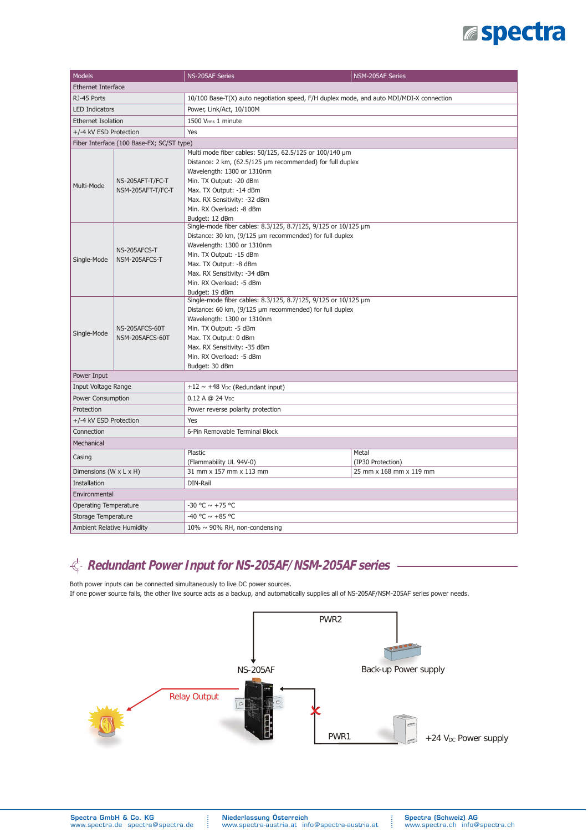# **Espectra**

| <b>Models</b>                                       |                                                                                         | NS-205AF Series                                                | NSM-205AF Series                             |  |  |
|-----------------------------------------------------|-----------------------------------------------------------------------------------------|----------------------------------------------------------------|----------------------------------------------|--|--|
| <b>Ethernet Interface</b>                           |                                                                                         |                                                                |                                              |  |  |
| RJ-45 Ports                                         | 10/100 Base-T(X) auto negotiation speed, F/H duplex mode, and auto MDI/MDI-X connection |                                                                |                                              |  |  |
| <b>LED Indicators</b>                               |                                                                                         | Power, Link/Act, 10/100M                                       |                                              |  |  |
| <b>Ethernet Isolation</b>                           |                                                                                         | 1500 Vrms 1 minute                                             |                                              |  |  |
| +/-4 kV ESD Protection                              |                                                                                         | Yes                                                            |                                              |  |  |
|                                                     | Fiber Interface (100 Base-FX; SC/ST type)                                               |                                                                |                                              |  |  |
|                                                     |                                                                                         | Multi mode fiber cables: 50/125, 62.5/125 or 100/140 µm        |                                              |  |  |
| Multi-Mode                                          | NS-205AFT-T/FC-T<br>NSM-205AFT-T/FC-T                                                   | Distance: 2 km, (62.5/125 µm recommended) for full duplex      |                                              |  |  |
|                                                     |                                                                                         | Wavelength: 1300 or 1310nm                                     |                                              |  |  |
|                                                     |                                                                                         | Min. TX Output: - 20 dBm                                       |                                              |  |  |
|                                                     |                                                                                         | Max. TX Output: -14 dBm                                        |                                              |  |  |
|                                                     |                                                                                         | Max. RX Sensitivity: -32 dBm                                   |                                              |  |  |
|                                                     |                                                                                         | Min. RX Overload: -8 dBm                                       |                                              |  |  |
|                                                     |                                                                                         | Budget: 12 dBm                                                 |                                              |  |  |
|                                                     |                                                                                         | Single-mode fiber cables: 8.3/125, 8.7/125, 9/125 or 10/125 µm |                                              |  |  |
|                                                     |                                                                                         | Distance: 30 km, (9/125 µm recommended) for full duplex        |                                              |  |  |
|                                                     | NS-205AFCS-T                                                                            | Wavelength: 1300 or 1310nm                                     |                                              |  |  |
| Single-Mode                                         | NSM-205AFCS-T                                                                           | Min. TX Output: -15 dBm                                        |                                              |  |  |
|                                                     |                                                                                         | Max. TX Output: - 8 dBm                                        |                                              |  |  |
|                                                     |                                                                                         | Max. RX Sensitivity: -34 dBm                                   |                                              |  |  |
|                                                     |                                                                                         | Min. RX Overload: -5 dBm                                       |                                              |  |  |
|                                                     |                                                                                         | Budget: 19 dBm                                                 |                                              |  |  |
|                                                     |                                                                                         | Single-mode fiber cables: 8.3/125, 8.7/125, 9/125 or 10/125 µm |                                              |  |  |
|                                                     |                                                                                         | Distance: 60 km, (9/125 µm recommended) for full duplex        |                                              |  |  |
|                                                     | NS-205AFCS-60T<br>NSM-205AFCS-60T                                                       | Wavelength: 1300 or 1310nm                                     |                                              |  |  |
| Single-Mode                                         |                                                                                         | Min. TX Output: -5 dBm                                         |                                              |  |  |
|                                                     |                                                                                         | Max. TX Output: 0 dBm                                          |                                              |  |  |
|                                                     |                                                                                         | Max. RX Sensitivity: -35 dBm                                   |                                              |  |  |
|                                                     |                                                                                         | Min. RX Overload: -5 dBm                                       |                                              |  |  |
|                                                     |                                                                                         | Budget: 30 dBm                                                 |                                              |  |  |
| Power Input                                         |                                                                                         |                                                                |                                              |  |  |
| Input Voltage Range                                 |                                                                                         | $+12 \sim +48$ V <sub>DC</sub> (Redundant input)               |                                              |  |  |
| <b>Power Consumption</b>                            |                                                                                         | 0.12 A @ 24 Vpc                                                |                                              |  |  |
| Protection                                          |                                                                                         | Power reverse polarity protection                              |                                              |  |  |
| +/-4 kV ESD Protection                              |                                                                                         | Yes                                                            |                                              |  |  |
| Connection                                          |                                                                                         | 6-Pin Removable Terminal Block                                 |                                              |  |  |
| Mechanical                                          |                                                                                         |                                                                |                                              |  |  |
| Casing                                              |                                                                                         | Plastic                                                        | Metal                                        |  |  |
| Dimensions (W x L x H)                              |                                                                                         | (Flammability UL 94V-0)<br>31 mm x 157 mm x 113 mm             | (IP30 Protection)<br>25 mm x 168 mm x 119 mm |  |  |
| <b>Installation</b>                                 |                                                                                         | DIN-Rail                                                       |                                              |  |  |
| Environmental                                       |                                                                                         |                                                                |                                              |  |  |
|                                                     |                                                                                         | $-30$ °C $\sim +75$ °C                                         |                                              |  |  |
| <b>Operating Temperature</b><br>Storage Temperature |                                                                                         | -40 °C $\sim$ +85 °C                                           |                                              |  |  |
|                                                     |                                                                                         |                                                                |                                              |  |  |
| <b>Ambient Relative Humidity</b>                    |                                                                                         | $10\% \sim 90\%$ RH, non-condensing                            |                                              |  |  |

### **Redundant Power Input for NS-205AF/NSM-205AF series**

Both power inputs can be connected simultaneously to live DC power sources. If one power source fails, the other live source acts as a backup, and automatically supplies all of NS-205AF/NSM-205AF series power needs.